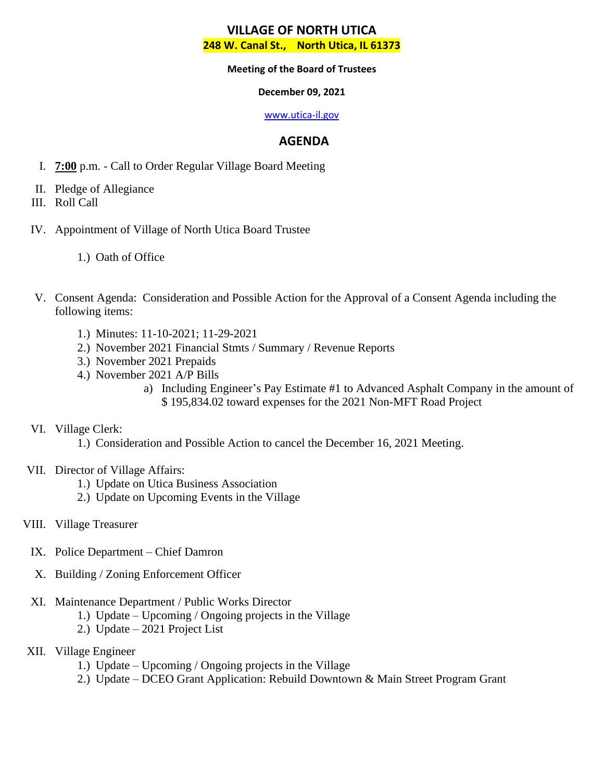#### **Meeting of the Board of Trustees**

### **December 09, 2021**

#### [www.utica-il.gov](http://www.utica-il.gov/)

## **AGENDA**

- I. **7:00** p.m. Call to Order Regular Village Board Meeting
- II. Pledge of Allegiance
- III. Roll Call
- IV. Appointment of Village of North Utica Board Trustee
	- 1.) Oath of Office
- V. Consent Agenda: Consideration and Possible Action for the Approval of a Consent Agenda including the following items:
	- 1.) Minutes: 11-10-2021; 11-29-2021
	- 2.) November 2021 Financial Stmts / Summary / Revenue Reports
	- 3.) November 2021 Prepaids
	- 4.) November 2021 A/P Bills
		- a) Including Engineer's Pay Estimate #1 to Advanced Asphalt Company in the amount of \$ 195,834.02 toward expenses for the 2021 Non-MFT Road Project

## VI. Village Clerk:

- 1.) Consideration and Possible Action to cancel the December 16, 2021 Meeting.
- VII. Director of Village Affairs:
	- 1.) Update on Utica Business Association
	- 2.) Update on Upcoming Events in the Village
- VIII. Village Treasurer
	- IX. Police Department Chief Damron
	- X. Building / Zoning Enforcement Officer
	- XI. Maintenance Department / Public Works Director
		- 1.) Update Upcoming / Ongoing projects in the Village
		- 2.) Update 2021 Project List
- XII. Village Engineer
	- 1.) Update Upcoming / Ongoing projects in the Village
	- 2.) Update DCEO Grant Application: Rebuild Downtown & Main Street Program Grant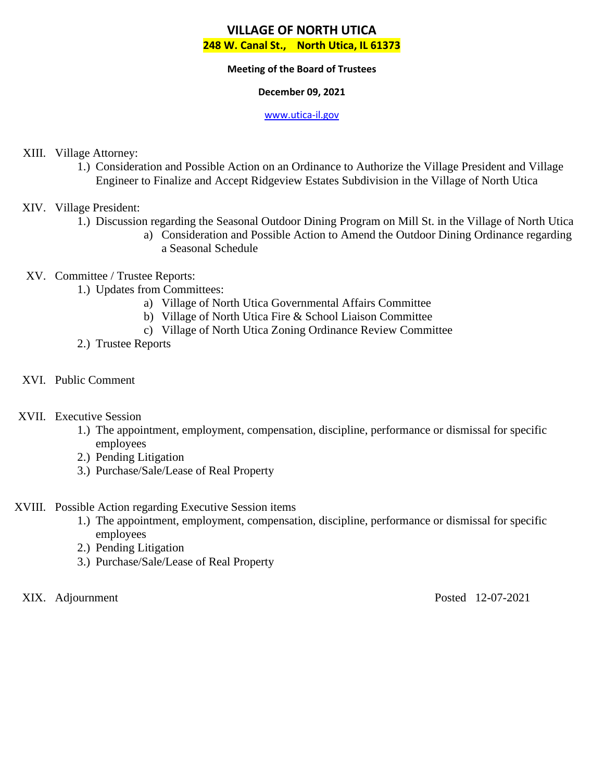#### **Meeting of the Board of Trustees**

### **December 09, 2021**

#### [www.utica-il.gov](http://www.utica-il.gov/)

## XIII. Village Attorney:

1.) Consideration and Possible Action on an Ordinance to Authorize the Village President and Village Engineer to Finalize and Accept Ridgeview Estates Subdivision in the Village of North Utica

## XIV. Village President:

- 1.) Discussion regarding the Seasonal Outdoor Dining Program on Mill St. in the Village of North Utica
	- a) Consideration and Possible Action to Amend the Outdoor Dining Ordinance regarding a Seasonal Schedule

## XV. Committee / Trustee Reports:

- 1.) Updates from Committees:
	- a) Village of North Utica Governmental Affairs Committee
	- b) Village of North Utica Fire & School Liaison Committee
	- c) Village of North Utica Zoning Ordinance Review Committee
- 2.) Trustee Reports
- XVI. Public Comment

## XVII. Executive Session

- 1.) The appointment, employment, compensation, discipline, performance or dismissal for specific employees
- 2.) Pending Litigation
- 3.) Purchase/Sale/Lease of Real Property
- XVIII. Possible Action regarding Executive Session items
	- 1.) The appointment, employment, compensation, discipline, performance or dismissal for specific employees
	- 2.) Pending Litigation
	- 3.) Purchase/Sale/Lease of Real Property

XIX. Adjournment Posted 12-07-2021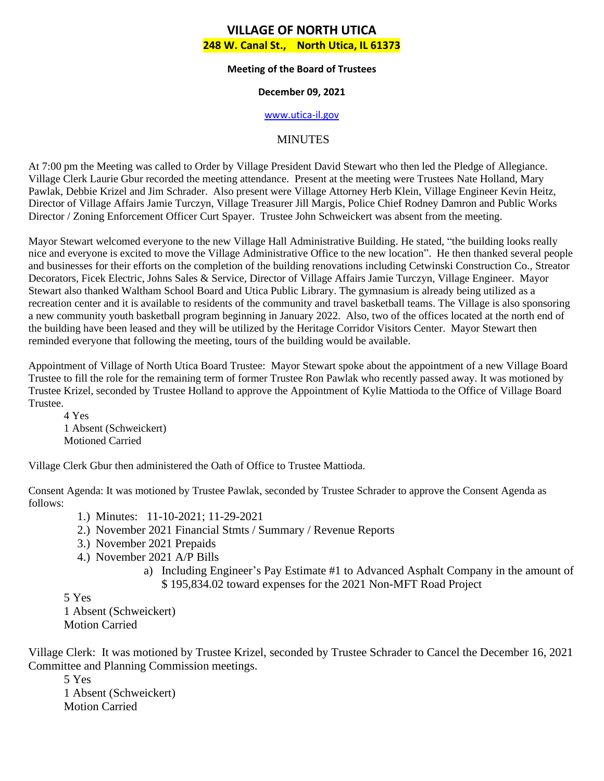#### **Meeting of the Board of Trustees**

### **December 09, 2021**

#### [www.utica-il.gov](http://www.utica-il.gov/)

## MINUTES

At 7:00 pm the Meeting was called to Order by Village President David Stewart who then led the Pledge of Allegiance. Village Clerk Laurie Gbur recorded the meeting attendance. Present at the meeting were Trustees Nate Holland, Mary Pawlak, Debbie Krizel and Jim Schrader. Also present were Village Attorney Herb Klein, Village Engineer Kevin Heitz, Director of Village Affairs Jamie Turczyn, Village Treasurer Jill Margis, Police Chief Rodney Damron and Public Works Director / Zoning Enforcement Officer Curt Spayer. Trustee John Schweickert was absent from the meeting.

Mayor Stewart welcomed everyone to the new Village Hall Administrative Building. He stated, "the building looks really nice and everyone is excited to move the Village Administrative Office to the new location". He then thanked several people and businesses for their efforts on the completion of the building renovations including Cetwinski Construction Co., Streator Decorators, Ficek Electric, Johns Sales & Service, Director of Village Affairs Jamie Turczyn, Village Engineer. Mayor Stewart also thanked Waltham School Board and Utica Public Library. The gymnasium is already being utilized as a recreation center and it is available to residents of the community and travel basketball teams. The Village is also sponsoring a new community youth basketball program beginning in January 2022. Also, two of the offices located at the north end of the building have been leased and they will be utilized by the Heritage Corridor Visitors Center. Mayor Stewart then reminded everyone that following the meeting, tours of the building would be available.

Appointment of Village of North Utica Board Trustee: Mayor Stewart spoke about the appointment of a new Village Board Trustee to fill the role for the remaining term of former Trustee Ron Pawlak who recently passed away. It was motioned by Trustee Krizel, seconded by Trustee Holland to approve the Appointment of Kylie Mattioda to the Office of Village Board Trustee.

4 Yes 1 Absent (Schweickert) Motioned Carried

Village Clerk Gbur then administered the Oath of Office to Trustee Mattioda.

Consent Agenda: It was motioned by Trustee Pawlak, seconded by Trustee Schrader to approve the Consent Agenda as follows:

- 1.) Minutes: 11-10-2021; 11-29-2021
- 2.) November 2021 Financial Stmts / Summary / Revenue Reports
- 3.) November 2021 Prepaids
- 4.) November 2021 A/P Bills
	- a) Including Engineer's Pay Estimate #1 to Advanced Asphalt Company in the amount of \$ 195,834.02 toward expenses for the 2021 Non-MFT Road Project

5 Yes

1 Absent (Schweickert) Motion Carried

Village Clerk: It was motioned by Trustee Krizel, seconded by Trustee Schrader to Cancel the December 16, 2021 Committee and Planning Commission meetings.

5 Yes 1 Absent (Schweickert) Motion Carried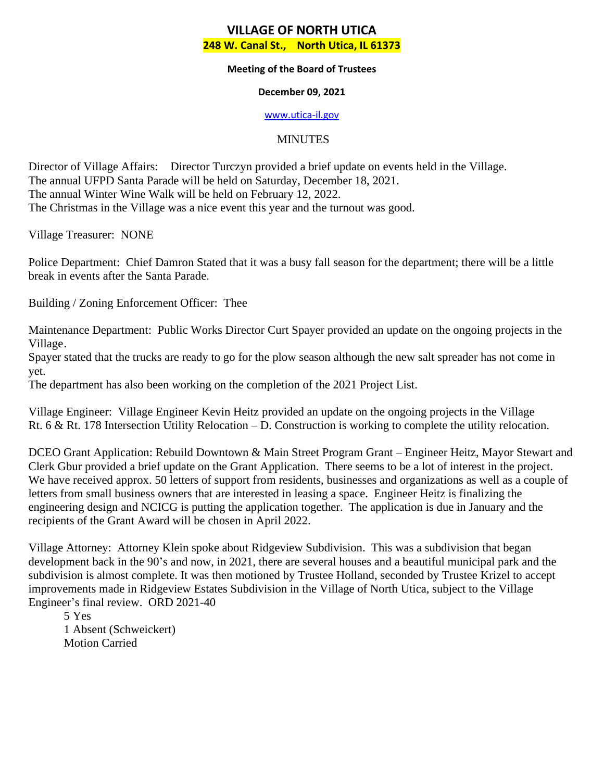#### **Meeting of the Board of Trustees**

### **December 09, 2021**

#### [www.utica-il.gov](http://www.utica-il.gov/)

## MINUTES

Director of Village Affairs: Director Turczyn provided a brief update on events held in the Village. The annual UFPD Santa Parade will be held on Saturday, December 18, 2021. The annual Winter Wine Walk will be held on February 12, 2022. The Christmas in the Village was a nice event this year and the turnout was good.

Village Treasurer: NONE

Police Department: Chief Damron Stated that it was a busy fall season for the department; there will be a little break in events after the Santa Parade.

Building / Zoning Enforcement Officer: Thee

Maintenance Department: Public Works Director Curt Spayer provided an update on the ongoing projects in the Village.

Spayer stated that the trucks are ready to go for the plow season although the new salt spreader has not come in yet.

The department has also been working on the completion of the 2021 Project List.

Village Engineer: Village Engineer Kevin Heitz provided an update on the ongoing projects in the Village Rt. 6 & Rt. 178 Intersection Utility Relocation – D. Construction is working to complete the utility relocation.

DCEO Grant Application: Rebuild Downtown & Main Street Program Grant – Engineer Heitz, Mayor Stewart and Clerk Gbur provided a brief update on the Grant Application. There seems to be a lot of interest in the project. We have received approx. 50 letters of support from residents, businesses and organizations as well as a couple of letters from small business owners that are interested in leasing a space. Engineer Heitz is finalizing the engineering design and NCICG is putting the application together. The application is due in January and the recipients of the Grant Award will be chosen in April 2022.

Village Attorney: Attorney Klein spoke about Ridgeview Subdivision. This was a subdivision that began development back in the 90's and now, in 2021, there are several houses and a beautiful municipal park and the subdivision is almost complete. It was then motioned by Trustee Holland, seconded by Trustee Krizel to accept improvements made in Ridgeview Estates Subdivision in the Village of North Utica, subject to the Village Engineer's final review. ORD 2021-40

5 Yes 1 Absent (Schweickert) Motion Carried